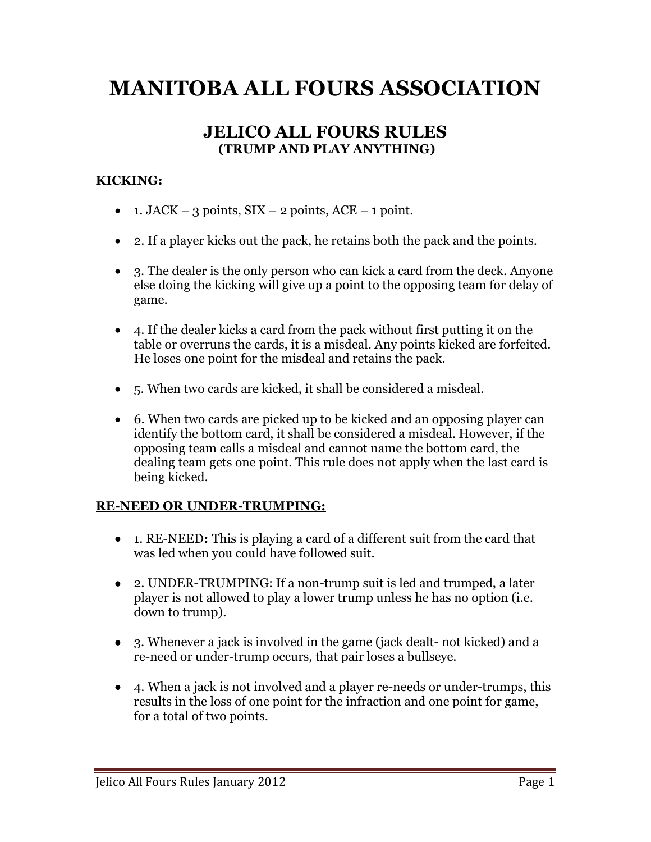# **MANITOBA ALL FOURS ASSOCIATION**

# **JELICO ALL FOURS RULES (TRUMP AND PLAY ANYTHING)**

#### **KICKING:**

- 1. JACK 3 points,  $SIX 2$  points,  $ACE 1$  point.
- 2. If a player kicks out the pack, he retains both the pack and the points.
- 3. The dealer is the only person who can kick a card from the deck. Anyone else doing the kicking will give up a point to the opposing team for delay of game.
- 4. If the dealer kicks a card from the pack without first putting it on the table or overruns the cards, it is a misdeal. Any points kicked are forfeited. He loses one point for the misdeal and retains the pack.
- 5. When two cards are kicked, it shall be considered a misdeal.
- 6. When two cards are picked up to be kicked and an opposing player can identify the bottom card, it shall be considered a misdeal. However, if the opposing team calls a misdeal and cannot name the bottom card, the dealing team gets one point. This rule does not apply when the last card is being kicked.

#### **RE-NEED OR UNDER-TRUMPING:**

- 1. RE-NEED**:** This is playing a card of a different suit from the card that was led when you could have followed suit.
- 2. UNDER-TRUMPING: If a non-trump suit is led and trumped, a later player is not allowed to play a lower trump unless he has no option (i.e. down to trump).
- 3. Whenever a jack is involved in the game (jack dealt- not kicked) and a re-need or under-trump occurs, that pair loses a bullseye.
- 4. When a jack is not involved and a player re-needs or under-trumps, this results in the loss of one point for the infraction and one point for game, for a total of two points.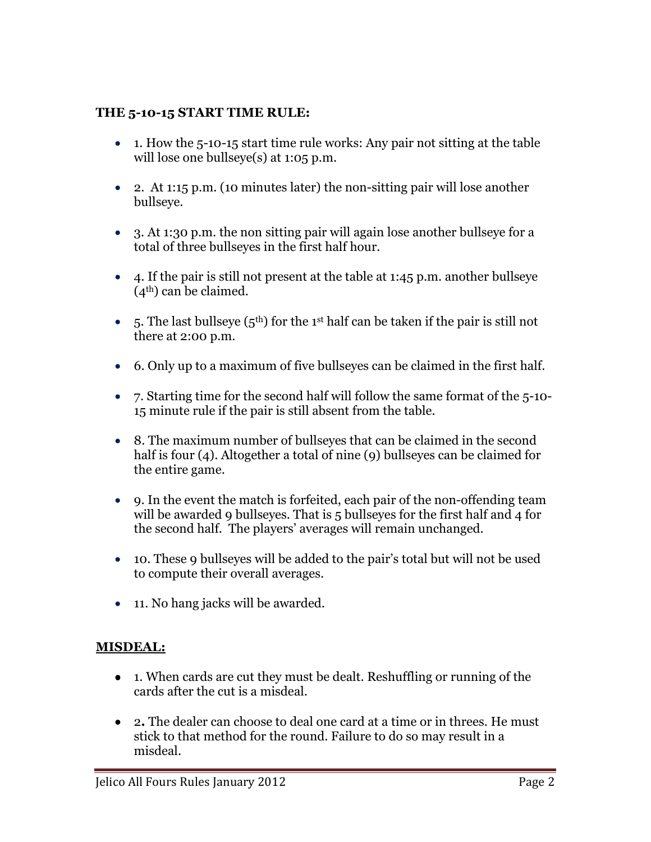#### **THE 5-10-15 START TIME RULE:**

- 1. How the 5-10-15 start time rule works: Any pair not sitting at the table will lose one bullseye(s) at 1:05 p.m.
- 2. At 1:15 p.m. (10 minutes later) the non-sitting pair will lose another bullseye.
- 3. At 1:30 p.m. the non sitting pair will again lose another bullseye for a total of three bullseyes in the first half hour.
- 4. If the pair is still not present at the table at 1:45 p.m. another bullseye (4th) can be claimed.
- 5. The last bullseye  $(5<sup>th</sup>)$  for the 1<sup>st</sup> half can be taken if the pair is still not there at 2:00 p.m.
- 6. Only up to a maximum of five bullseyes can be claimed in the first half.
- 7. Starting time for the second half will follow the same format of the 5-10- 15 minute rule if the pair is still absent from the table.
- 8. The maximum number of bullseyes that can be claimed in the second half is four (4). Altogether a total of nine (9) bullseyes can be claimed for the entire game.
- 9. In the event the match is forfeited, each pair of the non-offending team will be awarded 9 bullseyes. That is 5 bullseyes for the first half and 4 for the second half. The players' averages will remain unchanged.
- 10. These 9 bullseyes will be added to the pair's total but will not be used to compute their overall averages.
- 11. No hang jacks will be awarded.

## **MISDEAL:**

- 1. When cards are cut they must be dealt. Reshuffling or running of the cards after the cut is a misdeal.
- 2**.** The dealer can choose to deal one card at a time or in threes. He must stick to that method for the round. Failure to do so may result in a misdeal.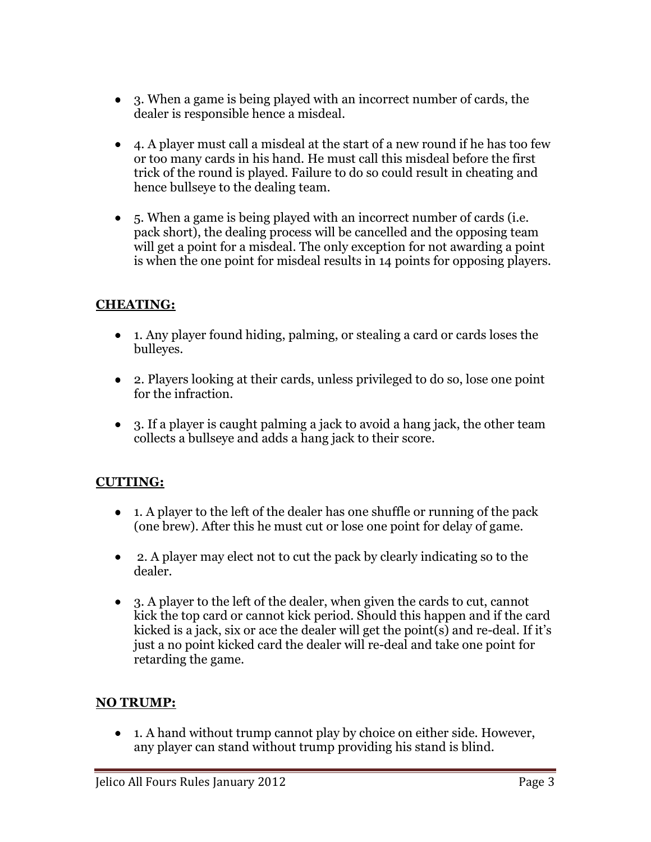- 3. When a game is being played with an incorrect number of cards, the dealer is responsible hence a misdeal.
- 4. A player must call a misdeal at the start of a new round if he has too few or too many cards in his hand. He must call this misdeal before the first trick of the round is played. Failure to do so could result in cheating and hence bullseye to the dealing team.
- 5. When a game is being played with an incorrect number of cards (i.e. pack short), the dealing process will be cancelled and the opposing team will get a point for a misdeal. The only exception for not awarding a point is when the one point for misdeal results in 14 points for opposing players.

# **CHEATING:**

- 1. Any player found hiding, palming, or stealing a card or cards loses the bulleyes.
- 2. Players looking at their cards, unless privileged to do so, lose one point for the infraction.
- 3. If a player is caught palming a jack to avoid a hang jack, the other team collects a bullseye and adds a hang jack to their score.

## **CUTTING:**

- 1. A player to the left of the dealer has one shuffle or running of the pack (one brew). After this he must cut or lose one point for delay of game.
- 2. A player may elect not to cut the pack by clearly indicating so to the dealer.
- 3. A player to the left of the dealer, when given the cards to cut, cannot kick the top card or cannot kick period. Should this happen and if the card kicked is a jack, six or ace the dealer will get the point(s) and re-deal. If it's just a no point kicked card the dealer will re-deal and take one point for retarding the game.

## **NO TRUMP:**

• 1. A hand without trump cannot play by choice on either side. However, any player can stand without trump providing his stand is blind.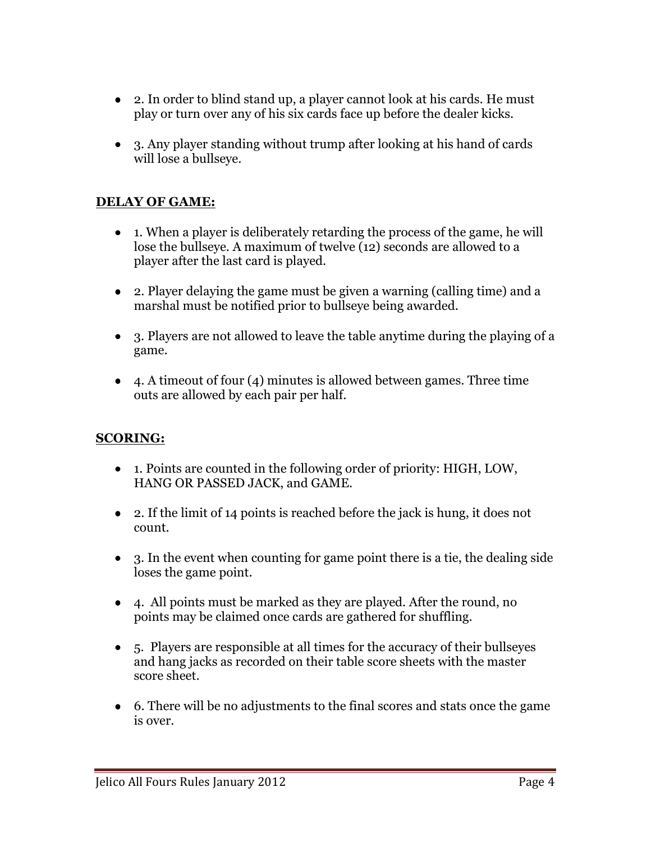- 2. In order to blind stand up, a player cannot look at his cards. He must play or turn over any of his six cards face up before the dealer kicks.
- 3. Any player standing without trump after looking at his hand of cards will lose a bullseye.

## **DELAY OF GAME:**

- 1. When a player is deliberately retarding the process of the game, he will lose the bullseye. A maximum of twelve (12) seconds are allowed to a player after the last card is played.
- 2. Player delaying the game must be given a warning (calling time) and a marshal must be notified prior to bullseye being awarded.
- 3. Players are not allowed to leave the table anytime during the playing of a game.
- 4. A timeout of four (4) minutes is allowed between games. Three time outs are allowed by each pair per half.

## **SCORING:**

- 1. Points are counted in the following order of priority: HIGH, LOW, HANG OR PASSED JACK, and GAME.
- 2. If the limit of 14 points is reached before the jack is hung, it does not count.
- 3. In the event when counting for game point there is a tie, the dealing side loses the game point.
- 4. All points must be marked as they are played. After the round, no points may be claimed once cards are gathered for shuffling.
- 5. Players are responsible at all times for the accuracy of their bullseyes and hang jacks as recorded on their table score sheets with the master score sheet.
- 6. There will be no adjustments to the final scores and stats once the game is over.